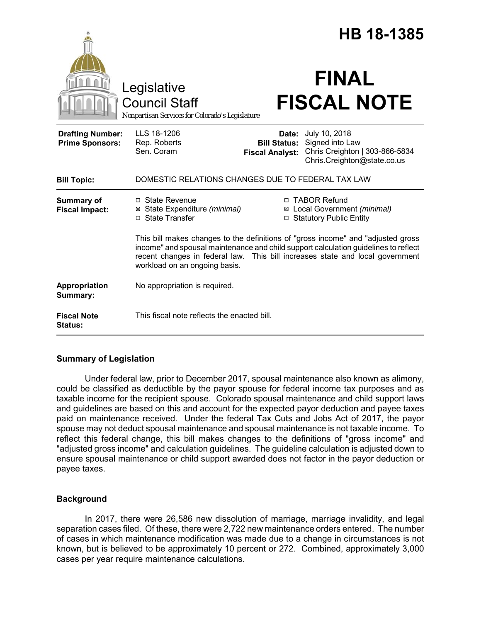|                                                   |                                                                                                                                                                                                                                                                                           |                                                        | HB 18-1385                                                                                        |  |
|---------------------------------------------------|-------------------------------------------------------------------------------------------------------------------------------------------------------------------------------------------------------------------------------------------------------------------------------------------|--------------------------------------------------------|---------------------------------------------------------------------------------------------------|--|
|                                                   | Legislative<br><b>Council Staff</b><br>Nonpartisan Services for Colorado's Legislature                                                                                                                                                                                                    |                                                        | <b>FINAL</b><br><b>FISCAL NOTE</b>                                                                |  |
| <b>Drafting Number:</b><br><b>Prime Sponsors:</b> | LLS 18-1206<br>Rep. Roberts<br>Sen. Coram                                                                                                                                                                                                                                                 | Date:<br><b>Bill Status:</b><br><b>Fiscal Analyst:</b> | July 10, 2018<br>Signed into Law<br>Chris Creighton   303-866-5834<br>Chris.Creighton@state.co.us |  |
| <b>Bill Topic:</b>                                | DOMESTIC RELATIONS CHANGES DUE TO FEDERAL TAX LAW                                                                                                                                                                                                                                         |                                                        |                                                                                                   |  |
| <b>Summary of</b><br><b>Fiscal Impact:</b>        | $\Box$ State Revenue<br>⊠ State Expenditure (minimal)<br>□ State Transfer                                                                                                                                                                                                                 |                                                        | □ TABOR Refund<br>⊠ Local Government (minimal)<br>□ Statutory Public Entity                       |  |
|                                                   | This bill makes changes to the definitions of "gross income" and "adjusted gross<br>income" and spousal maintenance and child support calculation guidelines to reflect<br>recent changes in federal law. This bill increases state and local government<br>workload on an ongoing basis. |                                                        |                                                                                                   |  |
| Appropriation<br>Summary:                         | No appropriation is required.                                                                                                                                                                                                                                                             |                                                        |                                                                                                   |  |
| <b>Fiscal Note</b><br><b>Status:</b>              | This fiscal note reflects the enacted bill.                                                                                                                                                                                                                                               |                                                        |                                                                                                   |  |

# **Summary of Legislation**

Under federal law, prior to December 2017, spousal maintenance also known as alimony, could be classified as deductible by the payor spouse for federal income tax purposes and as taxable income for the recipient spouse. Colorado spousal maintenance and child support laws and guidelines are based on this and account for the expected payor deduction and payee taxes paid on maintenance received. Under the federal Tax Cuts and Jobs Act of 2017, the payor spouse may not deduct spousal maintenance and spousal maintenance is not taxable income. To reflect this federal change, this bill makes changes to the definitions of "gross income" and "adjusted gross income" and calculation guidelines. The guideline calculation is adjusted down to ensure spousal maintenance or child support awarded does not factor in the payor deduction or payee taxes.

### **Background**

In 2017, there were 26,586 new dissolution of marriage, marriage invalidity, and legal separation cases filed. Of these, there were 2,722 new maintenance orders entered. The number of cases in which maintenance modification was made due to a change in circumstances is not known, but is believed to be approximately 10 percent or 272. Combined, approximately 3,000 cases per year require maintenance calculations.